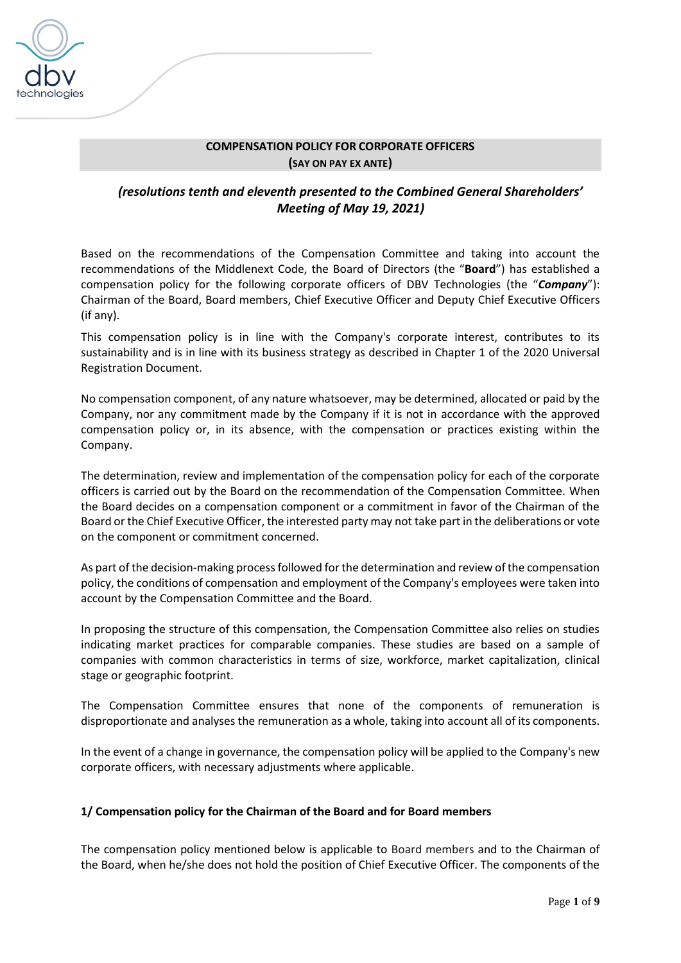

# **COMPENSATION POLICY FOR CORPORATE OFFICERS (SAY ON PAY EX ANTE)**

# *(resolutions tenth and eleventh presented to the Combined General Shareholders' Meeting of May 19, 2021)*

Based on the recommendations of the Compensation Committee and taking into account the recommendations of the Middlenext Code, the Board of Directors (the "**Board**") has established a compensation policy for the following corporate officers of DBV Technologies (the "*Company*"): Chairman of the Board, Board members, Chief Executive Officer and Deputy Chief Executive Officers (if any).

This compensation policy is in line with the Company's corporate interest, contributes to its sustainability and is in line with its business strategy as described in Chapter 1 of the 2020 Universal Registration Document.

No compensation component, of any nature whatsoever, may be determined, allocated or paid by the Company, nor any commitment made by the Company if it is not in accordance with the approved compensation policy or, in its absence, with the compensation or practices existing within the Company.

The determination, review and implementation of the compensation policy for each of the corporate officers is carried out by the Board on the recommendation of the Compensation Committee. When the Board decides on a compensation component or a commitment in favor of the Chairman of the Board or the Chief Executive Officer, the interested party may not take part in the deliberations or vote on the component or commitment concerned.

As part of the decision-making process followed for the determination and review of the compensation policy, the conditions of compensation and employment of the Company's employees were taken into account by the Compensation Committee and the Board.

In proposing the structure of this compensation, the Compensation Committee also relies on studies indicating market practices for comparable companies. These studies are based on a sample of companies with common characteristics in terms of size, workforce, market capitalization, clinical stage or geographic footprint.

The Compensation Committee ensures that none of the components of remuneration is disproportionate and analyses the remuneration as a whole, taking into account all of its components.

In the event of a change in governance, the compensation policy will be applied to the Company's new corporate officers, with necessary adjustments where applicable.

#### **1/ Compensation policy for the Chairman of the Board and for Board members**

The compensation policy mentioned below is applicable to Board members and to the Chairman of the Board, when he/she does not hold the position of Chief Executive Officer. The components of the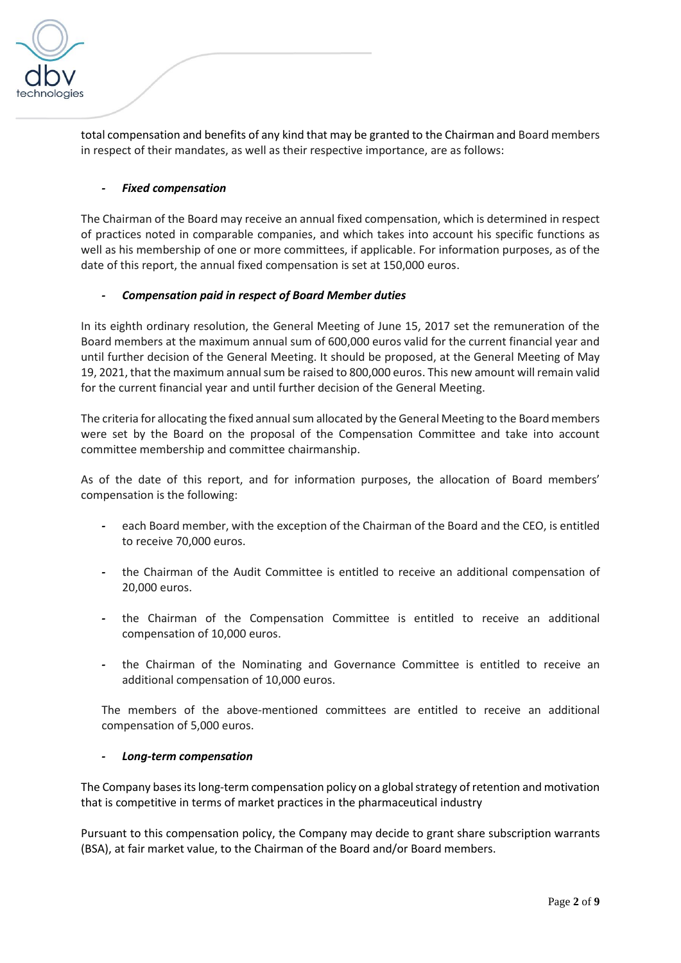

total compensation and benefits of any kind that may be granted to the Chairman and Board members in respect of their mandates, as well as their respective importance, are as follows:

# *- Fixed compensation*

The Chairman of the Board may receive an annual fixed compensation, which is determined in respect of practices noted in comparable companies, and which takes into account his specific functions as well as his membership of one or more committees, if applicable. For information purposes, as of the date of this report, the annual fixed compensation is set at 150,000 euros.

## *- Compensation paid in respect of Board Member duties*

In its eighth ordinary resolution, the General Meeting of June 15, 2017 set the remuneration of the Board members at the maximum annual sum of 600,000 euros valid for the current financial year and until further decision of the General Meeting. It should be proposed, at the General Meeting of May 19, 2021, that the maximum annual sum be raised to 800,000 euros. This new amount will remain valid for the current financial year and until further decision of the General Meeting.

The criteria for allocating the fixed annual sum allocated by the General Meeting to the Board members were set by the Board on the proposal of the Compensation Committee and take into account committee membership and committee chairmanship.

As of the date of this report, and for information purposes, the allocation of Board members' compensation is the following:

- *-* each Board member, with the exception of the Chairman of the Board and the CEO, is entitled to receive 70,000 euros.
- *-* the Chairman of the Audit Committee is entitled to receive an additional compensation of 20,000 euros.
- *-* the Chairman of the Compensation Committee is entitled to receive an additional compensation of 10,000 euros.
- *-* the Chairman of the Nominating and Governance Committee is entitled to receive an additional compensation of 10,000 euros.

The members of the above-mentioned committees are entitled to receive an additional compensation of 5,000 euros.

#### *- Long-term compensation*

The Company bases its long-term compensation policy on a global strategy of retention and motivation that is competitive in terms of market practices in the pharmaceutical industry

Pursuant to this compensation policy, the Company may decide to grant share subscription warrants (BSA), at fair market value, to the Chairman of the Board and/or Board members.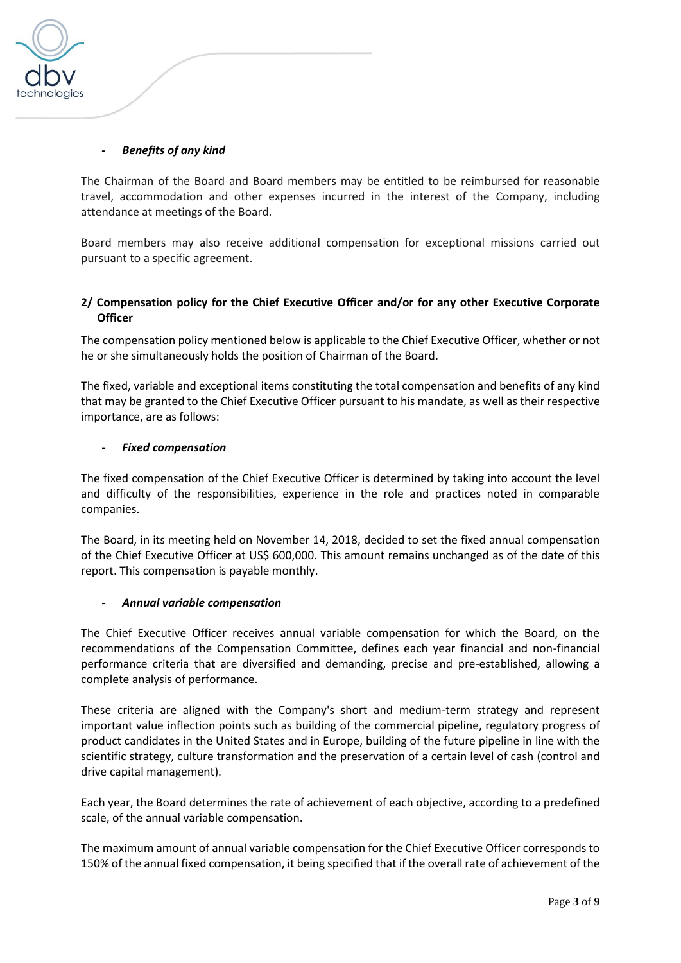

#### *- Benefits of any kind*

The Chairman of the Board and Board members may be entitled to be reimbursed for reasonable travel, accommodation and other expenses incurred in the interest of the Company, including attendance at meetings of the Board.

Board members may also receive additional compensation for exceptional missions carried out pursuant to a specific agreement.

## **2/ Compensation policy for the Chief Executive Officer and/or for any other Executive Corporate Officer**

The compensation policy mentioned below is applicable to the Chief Executive Officer, whether or not he or she simultaneously holds the position of Chairman of the Board.

The fixed, variable and exceptional items constituting the total compensation and benefits of any kind that may be granted to the Chief Executive Officer pursuant to his mandate, as well as their respective importance, are as follows:

#### - *Fixed compensation*

The fixed compensation of the Chief Executive Officer is determined by taking into account the level and difficulty of the responsibilities, experience in the role and practices noted in comparable companies.

The Board, in its meeting held on November 14, 2018, decided to set the fixed annual compensation of the Chief Executive Officer at US\$ 600,000. This amount remains unchanged as of the date of this report. This compensation is payable monthly.

#### - *Annual variable compensation*

The Chief Executive Officer receives annual variable compensation for which the Board, on the recommendations of the Compensation Committee, defines each year financial and non-financial performance criteria that are diversified and demanding, precise and pre-established, allowing a complete analysis of performance.

These criteria are aligned with the Company's short and medium-term strategy and represent important value inflection points such as building of the commercial pipeline, regulatory progress of product candidates in the United States and in Europe, building of the future pipeline in line with the scientific strategy, culture transformation and the preservation of a certain level of cash (control and drive capital management).

Each year, the Board determines the rate of achievement of each objective, according to a predefined scale, of the annual variable compensation.

The maximum amount of annual variable compensation for the Chief Executive Officer corresponds to 150% of the annual fixed compensation, it being specified that if the overall rate of achievement of the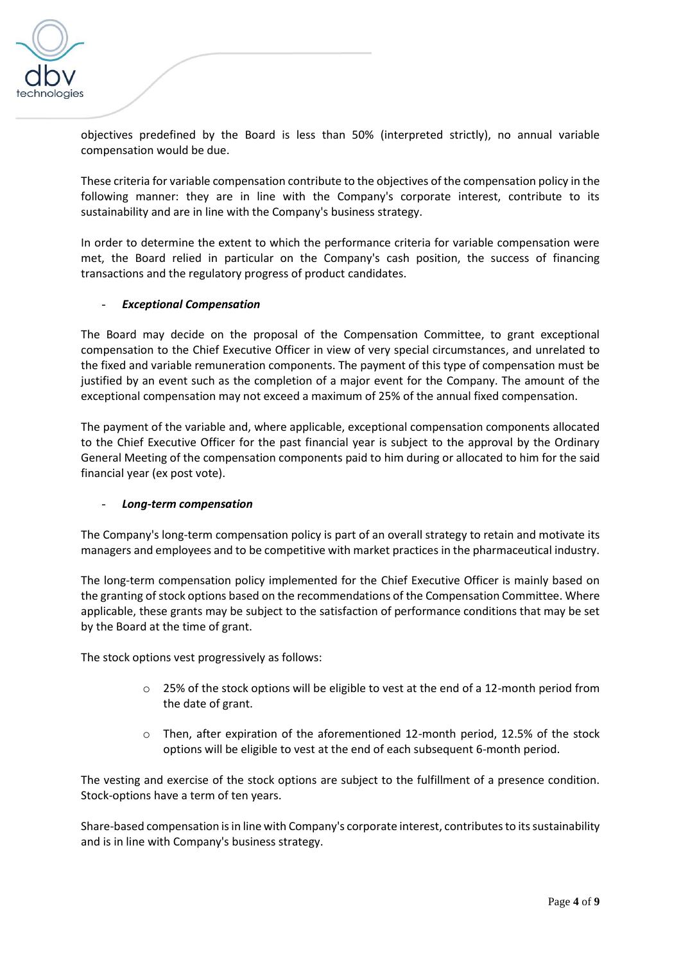

objectives predefined by the Board is less than 50% (interpreted strictly), no annual variable compensation would be due.

These criteria for variable compensation contribute to the objectives of the compensation policy in the following manner: they are in line with the Company's corporate interest, contribute to its sustainability and are in line with the Company's business strategy.

In order to determine the extent to which the performance criteria for variable compensation were met, the Board relied in particular on the Company's cash position, the success of financing transactions and the regulatory progress of product candidates.

#### - *Exceptional Compensation*

The Board may decide on the proposal of the Compensation Committee, to grant exceptional compensation to the Chief Executive Officer in view of very special circumstances, and unrelated to the fixed and variable remuneration components. The payment of this type of compensation must be justified by an event such as the completion of a major event for the Company. The amount of the exceptional compensation may not exceed a maximum of 25% of the annual fixed compensation.

The payment of the variable and, where applicable, exceptional compensation components allocated to the Chief Executive Officer for the past financial year is subject to the approval by the Ordinary General Meeting of the compensation components paid to him during or allocated to him for the said financial year (ex post vote).

#### - *Long-term compensation*

The Company's long-term compensation policy is part of an overall strategy to retain and motivate its managers and employees and to be competitive with market practices in the pharmaceutical industry.

The long-term compensation policy implemented for the Chief Executive Officer is mainly based on the granting of stock options based on the recommendations of the Compensation Committee. Where applicable, these grants may be subject to the satisfaction of performance conditions that may be set by the Board at the time of grant.

The stock options vest progressively as follows:

- o 25% of the stock options will be eligible to vest at the end of a 12-month period from the date of grant.
- $\circ$  Then, after expiration of the aforementioned 12-month period, 12.5% of the stock options will be eligible to vest at the end of each subsequent 6-month period.

The vesting and exercise of the stock options are subject to the fulfillment of a presence condition. Stock-options have a term of ten years.

Share-based compensation is in line with Company's corporate interest, contributes to its sustainability and is in line with Company's business strategy.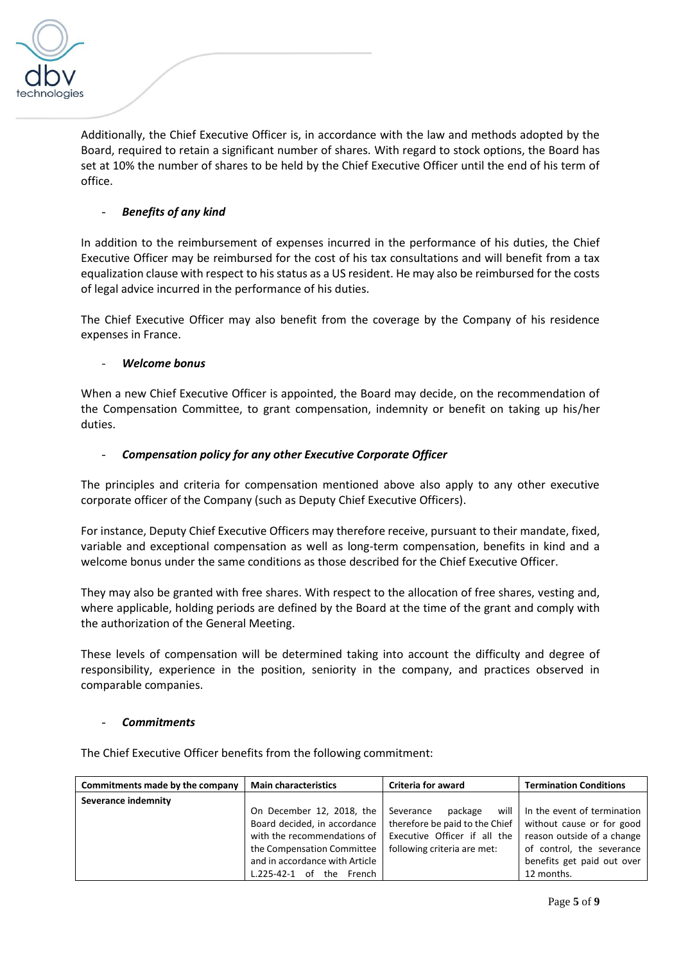

Additionally, the Chief Executive Officer is, in accordance with the law and methods adopted by the Board, required to retain a significant number of shares. With regard to stock options, the Board has set at 10% the number of shares to be held by the Chief Executive Officer until the end of his term of office.

# - *Benefits of any kind*

In addition to the reimbursement of expenses incurred in the performance of his duties, the Chief Executive Officer may be reimbursed for the cost of his tax consultations and will benefit from a tax equalization clause with respect to his status as a US resident. He may also be reimbursed for the costs of legal advice incurred in the performance of his duties.

The Chief Executive Officer may also benefit from the coverage by the Company of his residence expenses in France.

#### - *Welcome bonus*

When a new Chief Executive Officer is appointed, the Board may decide, on the recommendation of the Compensation Committee, to grant compensation, indemnity or benefit on taking up his/her duties.

#### - *Compensation policy for any other Executive Corporate Officer*

The principles and criteria for compensation mentioned above also apply to any other executive corporate officer of the Company (such as Deputy Chief Executive Officers).

For instance, Deputy Chief Executive Officers may therefore receive, pursuant to their mandate, fixed, variable and exceptional compensation as well as long-term compensation, benefits in kind and a welcome bonus under the same conditions as those described for the Chief Executive Officer.

They may also be granted with free shares. With respect to the allocation of free shares, vesting and, where applicable, holding periods are defined by the Board at the time of the grant and comply with the authorization of the General Meeting.

These levels of compensation will be determined taking into account the difficulty and degree of responsibility, experience in the position, seniority in the company, and practices observed in comparable companies.

#### - *Commitments*

The Chief Executive Officer benefits from the following commitment:

| Commitments made by the company | <b>Main characteristics</b>    | <b>Criteria for award</b>      | <b>Termination Conditions</b> |
|---------------------------------|--------------------------------|--------------------------------|-------------------------------|
| Severance indemnity             |                                |                                |                               |
|                                 | On December 12, 2018, the      | will<br>Severance<br>package   | In the event of termination   |
|                                 | Board decided, in accordance   | therefore be paid to the Chief | without cause or for good     |
|                                 | with the recommendations of    | Executive Officer if all the   | reason outside of a change    |
|                                 | the Compensation Committee     | following criteria are met:    | of control, the severance     |
|                                 | and in accordance with Article |                                | benefits get paid out over    |
|                                 | $L.225-42-1$ of the French     |                                | 12 months.                    |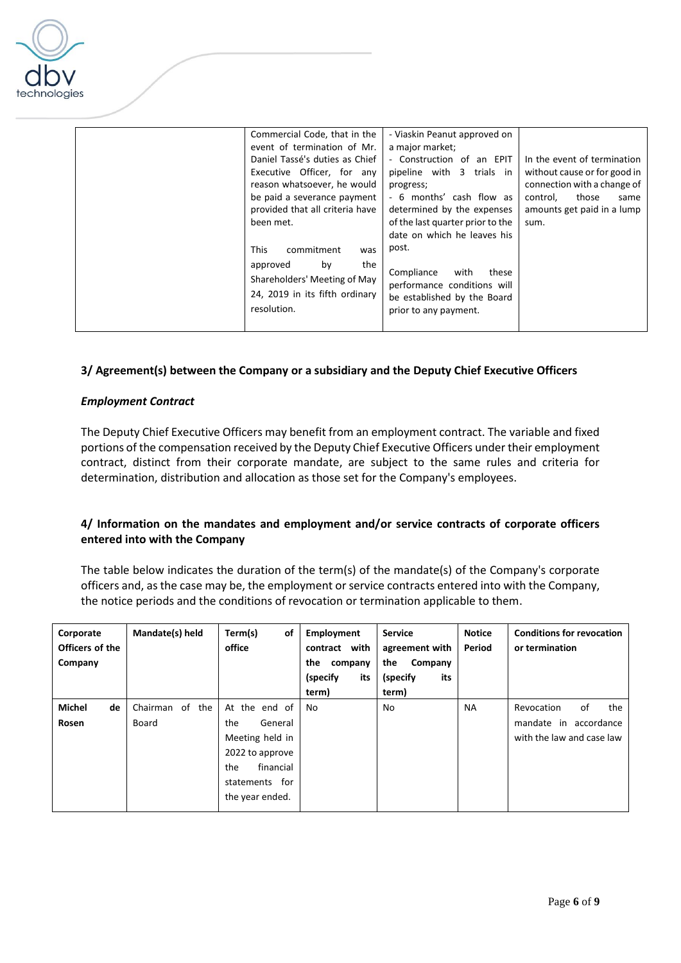

| Commercial Code, that in the    | - Viaskin Peanut approved on     |                              |
|---------------------------------|----------------------------------|------------------------------|
| event of termination of Mr.     | a major market;                  |                              |
| Daniel Tassé's duties as Chief  | - Construction of an EPIT        | In the event of termination  |
| Executive Officer, for any      | pipeline with 3 trials in        | without cause or for good in |
| reason whatsoever, he would     | progress;                        | connection with a change of  |
| be paid a severance payment     | - 6 months' cash flow as         | control,<br>those<br>same    |
| provided that all criteria have | determined by the expenses       | amounts get paid in a lump   |
| been met.                       | of the last quarter prior to the | sum.                         |
|                                 | date on which he leaves his      |                              |
| This<br>commitment<br>was       | post.                            |                              |
| the<br>by<br>approved           |                                  |                              |
| Shareholders' Meeting of May    | Compliance<br>with<br>these      |                              |
|                                 | performance conditions will      |                              |
| 24, 2019 in its fifth ordinary  | be established by the Board      |                              |
| resolution.                     | prior to any payment.            |                              |
|                                 |                                  |                              |

#### **3/ Agreement(s) between the Company or a subsidiary and the Deputy Chief Executive Officers**

#### *Employment Contract*

The Deputy Chief Executive Officers may benefit from an employment contract. The variable and fixed portions of the compensation received by the Deputy Chief Executive Officers under their employment contract, distinct from their corporate mandate, are subject to the same rules and criteria for determination, distribution and allocation as those set for the Company's employees.

## **4/ Information on the mandates and employment and/or service contracts of corporate officers entered into with the Company**

The table below indicates the duration of the term(s) of the mandate(s) of the Company's corporate officers and, as the case may be, the employment or service contracts entered into with the Company, the notice periods and the conditions of revocation or termination applicable to them.

| Corporate<br>Officers of the | Mandate(s) held       | Term(s)<br>of<br>office | Employment<br>contract with | <b>Service</b><br>agreement with | <b>Notice</b><br>Period | <b>Conditions for revocation</b><br>or termination |
|------------------------------|-----------------------|-------------------------|-----------------------------|----------------------------------|-------------------------|----------------------------------------------------|
| Company                      |                       |                         | the<br>company              | the<br>Company                   |                         |                                                    |
|                              |                       |                         | its<br>(specify)            | its<br>(specify)                 |                         |                                                    |
|                              |                       |                         | term)                       | term)                            |                         |                                                    |
| Michel<br>de                 | the<br>of<br>Chairman | At the end of           | No                          | No                               | <b>NA</b>               | the<br>of<br>Revocation                            |
| Rosen                        | Board                 | the<br>General          |                             |                                  |                         | mandate in accordance                              |
|                              |                       | Meeting held in         |                             |                                  |                         | with the law and case law                          |
|                              |                       | 2022 to approve         |                             |                                  |                         |                                                    |
|                              |                       | financial<br>the        |                             |                                  |                         |                                                    |
|                              |                       | statements for          |                             |                                  |                         |                                                    |
|                              |                       | the year ended.         |                             |                                  |                         |                                                    |
|                              |                       |                         |                             |                                  |                         |                                                    |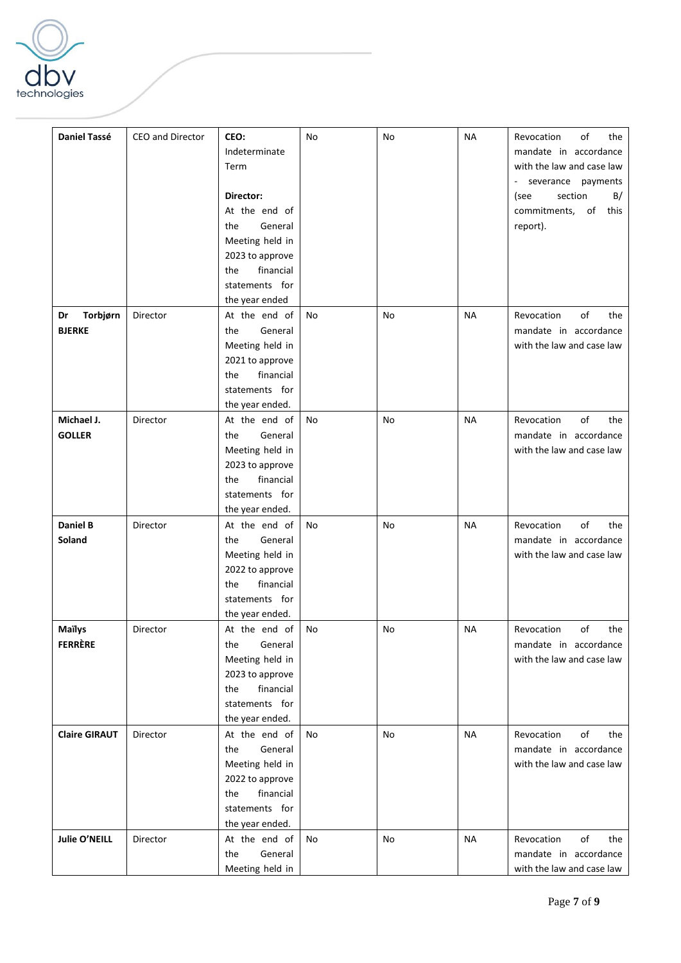

| <b>Daniel Tassé</b>             | CEO and Director | CEO:<br>Indeterminate<br>Term<br>Director:<br>At the end of<br>General<br>the<br>Meeting held in<br>2023 to approve<br>financial<br>the<br>statements for<br>the year ended | No | No | <b>NA</b> | of<br>Revocation<br>the<br>mandate in accordance<br>with the law and case law<br>- severance payments<br>section<br>B/<br>(see<br>commitments, of this<br>report). |
|---------------------------------|------------------|-----------------------------------------------------------------------------------------------------------------------------------------------------------------------------|----|----|-----------|--------------------------------------------------------------------------------------------------------------------------------------------------------------------|
| Torbjørn<br>Dr<br><b>BJERKE</b> | Director         | At the end of<br>General<br>the<br>Meeting held in<br>2021 to approve<br>financial<br>the<br>statements for<br>the year ended.                                              | No | No | NА        | of<br>Revocation<br>the<br>mandate in accordance<br>with the law and case law                                                                                      |
| Michael J.<br><b>GOLLER</b>     | Director         | At the end of<br>General<br>the<br>Meeting held in<br>2023 to approve<br>financial<br>the<br>statements for<br>the year ended.                                              | No | No | <b>NA</b> | of<br>Revocation<br>the<br>mandate in accordance<br>with the law and case law                                                                                      |
| <b>Daniel B</b><br>Soland       | Director         | At the end of<br>General<br>the<br>Meeting held in<br>2022 to approve<br>financial<br>the<br>statements for<br>the year ended.                                              | No | No | NА        | of<br>Revocation<br>the<br>mandate in accordance<br>with the law and case law                                                                                      |
| Maïlys<br><b>FERRÈRE</b>        | Director         | At the end of<br>General<br>the<br>Meeting held in<br>2023 to approve<br>financial<br>the<br>statements for<br>the year ended.                                              | No | No | ΝA        | Revocation<br>of<br>the<br>mandate in accordance<br>with the law and case law                                                                                      |
| <b>Claire GIRAUT</b>            | Director         | At the end of<br>General<br>the<br>Meeting held in<br>2022 to approve<br>financial<br>the<br>statements for<br>the year ended.                                              | No | No | <b>NA</b> | of<br>Revocation<br>the<br>mandate in accordance<br>with the law and case law                                                                                      |
| Julie O'NEILL                   | Director         | At the end of<br>General<br>the<br>Meeting held in                                                                                                                          | No | No | <b>NA</b> | of<br>Revocation<br>the<br>mandate in accordance<br>with the law and case law                                                                                      |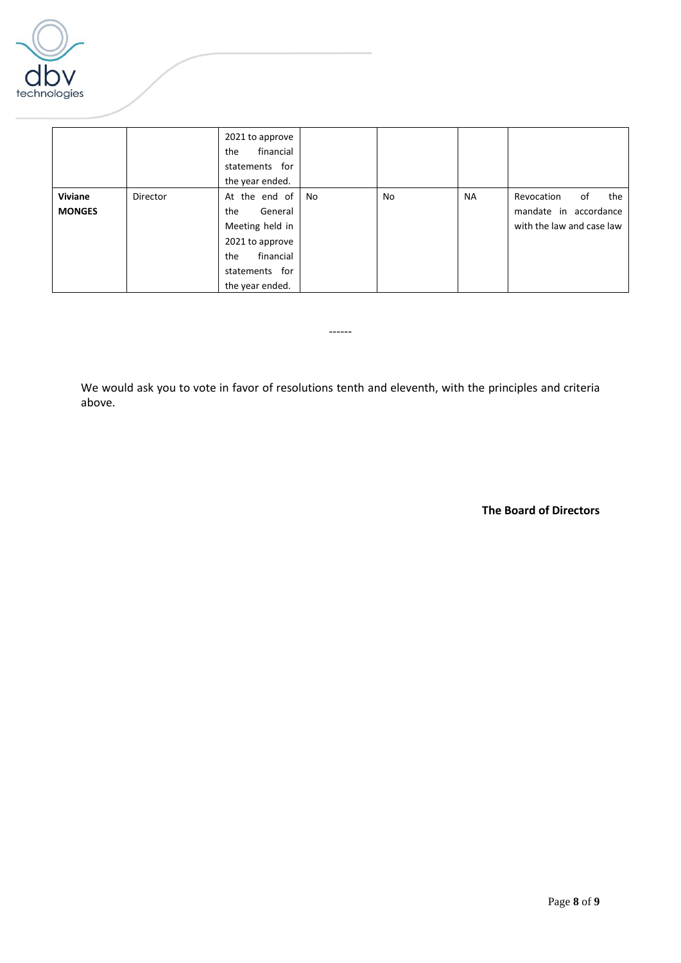

|                          |          | 2021 to approve<br>financial<br>the<br>statements for<br>the year ended.                                                       |    |    |           |                                                                               |
|--------------------------|----------|--------------------------------------------------------------------------------------------------------------------------------|----|----|-----------|-------------------------------------------------------------------------------|
| Viviane<br><b>MONGES</b> | Director | At the end of<br>General<br>the<br>Meeting held in<br>2021 to approve<br>financial<br>the<br>statements for<br>the year ended. | No | No | <b>NA</b> | the<br>of<br>Revocation<br>mandate in accordance<br>with the law and case law |

We would ask you to vote in favor of resolutions tenth and eleventh, with the principles and criteria above.

------

**The Board of Directors**